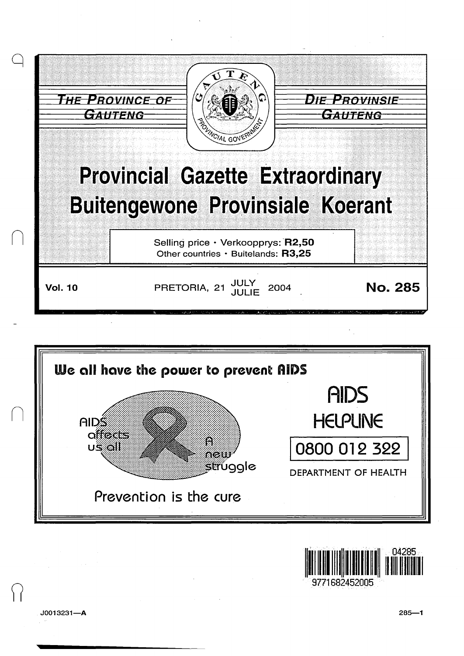





 $J0013231 - A$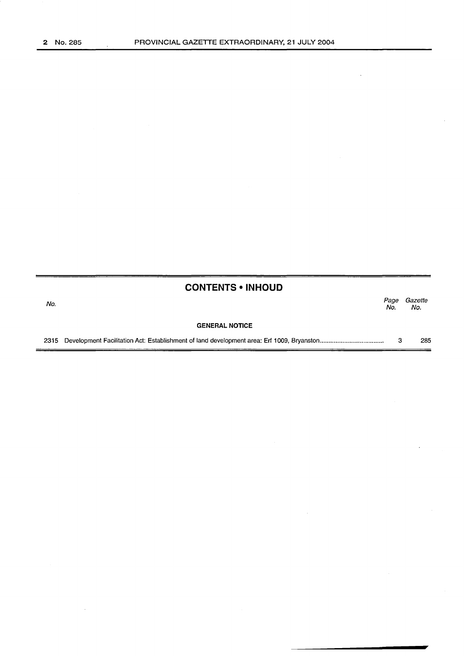$\bar{\beta}$ 

|      | <b>CONTENTS • INHOUD</b> |             |                |
|------|--------------------------|-------------|----------------|
| No.  |                          | Page<br>No. | Gazette<br>No. |
|      | <b>GENERAL NOTICE</b>    |             |                |
| 2315 |                          | з           | 285            |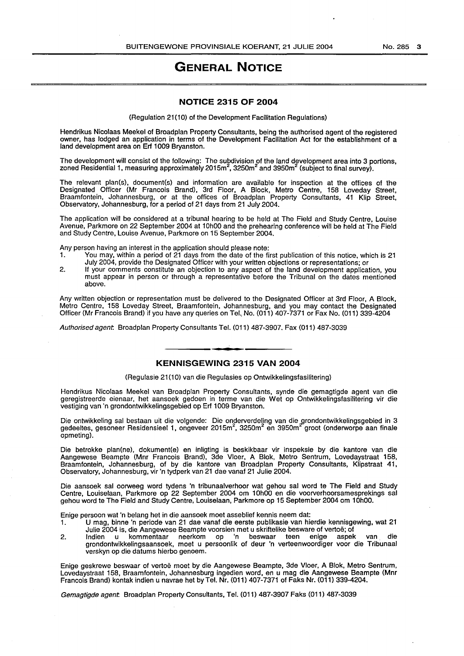## **GENERAL NOTICE**

## **NOTICE 2315 OF 2004**

(Regulation 21(10) of the Development Facilitation Regulations)

Hendrikus Nicolaas Meekel of Broadplan Property Consultants, being the authorised agent of the registered owner, has lodged an application in terms of the Development Facilitation Act for the establishment of a land development area on Erf 1009 Bryanston.

The development will consist of the following: The subdivision of the land development area into 3 portions, zoned Residential 1, measuring approximately 2015 $\mathrm{m}^2$ , 3250 $\mathrm{m}^2$  and 3950 $\mathrm{m}^2$  (subject to final survey).

The relevant plan(s), document(s) and information are available for inspection at the offices of the Designated Officer (Mr Francois Brand), 3rd Floor, A Block, Metro Centre, 158 Loveday Street, Braamfontein, Johannesburg, or at the offices of Broadplan Property Consultants, 41 Klip Street, Observatory, Johannesburg, for a period of 21 days from 21 July 2004.

The application will be considered at a tribunal hearing to be held at The Field and Study Centre, Louise Avenue, Parkmore on 22 September 2004 at 10h00 and the prehearing conference will be held at The Field and Study Centre, Louise Avenue, Parkmore on 15 September 2004.

Any person having an interest in the application should please note:

- 1. You may, within a period of 21 days from the date of the first publication of this notice, which is 21 July 2004, provide the Designated Officer with your written objections or representations; or
- 2. If your comments constitute an objection to any aspect of the land development application, you must appear in person or through a representative before the Tribunal on the dates mentioned above.

Any written objection or representation must be delivered to the Designated Officer at 3rd Floor, A Block, Metro Centre, 158 Loveday Street, Braamfontein, Johannesburg, and you may contact the Designated Officer (Mr Francois Brand) if you have any queries on Tel.. No. (011) 407-7371 or Fax No. (011) 339-4204

Authorised agent. Broadplan Property Consultants Tel. (011) 487-3907. Fax (011) 487-3039

## **KENNISGEWING 2315 VAN 2004**

(Regulasie 21(10) van die Regulasies op Ontwikkelingsfasilitering)

Hendrikus Nicolaas Meekel van Broadplan Property Consultants, synde die gemagtigde agent van die geregistreerde eienaar, het aansoek gedoen in terme van die Wet op Ontwikkelingsfasilitering vir die vestiging van 'n grondontwikkelingsgebied op Erf 1009 Bryanston.

Die ontwikkeling sal bestaan uit die volgende: Die onderverdeling van die grondontwikkelingsgebied in 3<br>gedeeltes, gesoneer Residensieel 1, ongeveer 2015m<sup>2</sup>, 3250m<sup>2</sup> en 3950m<sup>2</sup> groot (onderworpe aan finale opmeting).

Die betrokke plan(ne), dokument(e) en inligting is beskikbaar vir inspeksie by die kantore van die Aangewese Beampte (Mnr Francois Brand), 3de Vloer, A Blok, Metro Sentrum, Lovedaystraat 158, Braamfontein, Johannesburg, of by die kantore van Broadplan Property Consultants, Klipstraat 41, Observatory, Johannesburg, vir 'n tydperk van 21 dae vanaf 21 Julie 2004.

Die aansoek sal oorweeg word tydens 'n tribunaalverhoor wat gehou sal word te The Field and Study Centre, Louiselaan, Parkmore op 22 September 2004 om 1 OhOO en die voorverhoorsamesprekings sal gehou word te The Field and Study Centre, Louiselaan, Park more op 15 September 2004 om 1 OhOO.

Enige persoon wat 'n belang het in die aansoek moet asseblief kennis neem dat:

- 1. U mag, binne 'n periode van 21 dae vanaf die eerste publikasie van hierdie kennisgewing, wat 21 Julie 2004 is, die Aangewese Beampte voorsien met u skriftelike besware of vertoë; of
- 2. Indien u kommentaar neerkom op 'n beswaar teen enige aspek van die grondontwikkelingsaansoek, moet u persoonlik of deur 'n verteenwoordiger voor die Tribunaal verskyn op die datums hierbo genoem.

Enige geskrewe beswaar of vertoe meet by die Aangewese Beampte, 3de Vloer, A Blok, Metro Sentrum, Lovedaystraat 158, Braamfontein, Johannesburg ingedien word, en u mag die Aangewese Beampte (Mnr Francois Brand) kontak indien u navrae het by Tel. Nr. (011) 407-7371 of Faks Nr. (011) 339-4204.

Gemagtigde agent: Broadplan Property Consultants, Tel. (011) 487-3907 Faks (011) 487-3039